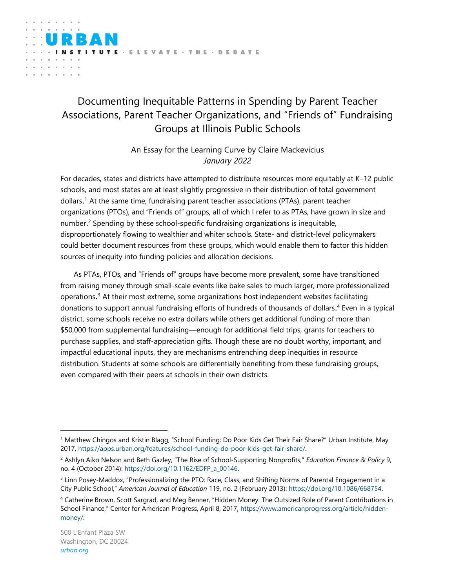# Documenting Inequitable Patterns in Spending by Parent Teacher Associations, Parent Teacher Organizations, and "Friends of" Fundraising Groups at Illinois Public Schools

An Essay for the Learning Curve by Claire Mackevicius *January 2022*

For decades, states and districts have attempted to distribute resources more equitably at K–12 public schools, and [m](https://apps.urban.org/features/school-funding-do-poor-kids-get-fair-share/)ost states are at least slightly progressive in their distribution of total government dollars. <sup>1</sup> At the same time, fundraising parent teacher associations (PTAs), parent teacher organizations (PTOs), and "Friends of" groups, all of which I refer to as PTA[s,](https://direct.mit.edu/edfp/article/9/4/541/10213/The-Rise-of-School-Supporting-Nonprofits) have grown in size and number. <sup>2</sup> Spending by these school-specific fundraising organizations is inequitable, disproportionately flowing to wealthier and whiter schools. State- and district-level policymakers could better document resources from these groups, which would enable them to factor this hidden sources of inequity into funding policies and allocation decisions.

As PTAs, PTOs, and "Friends of" groups have become more prevalent, some have transitioned from raising money through small-scale events like bake sale[s](https://www.journals.uchicago.edu/doi/full/10.1086/668754) to much larger, more professionalized operations. <sup>3</sup> At their most extreme, some organizations host independent websites facilitating donations to support annual fundraising efforts of hundreds of thousands of dollars. <sup>4</sup> Even in a typical district, some schools receive no extra dollars while others get additional funding of more than \$50,000 from supplemental fundraising—enough for additional field trips, grants for teachers to purchase supplies, and staff-appreciation gifts. Though these are no doubt worthy, important, and impactful educational inputs, they are mechanisms entrenching deep inequities in resource distribution. Students at some schools are differentially benefiting from these fundraising groups, even compared with their peers at schools in their own districts.

<sup>1</sup> Matthew Chingos and Kristin Blagg, "School Funding: Do Poor Kids Get Their Fair Share?" Urban Institute, May 2017, [https://apps.urban.org/features/school-funding-do-poor-kids-get-fair-share/.](https://apps.urban.org/features/school-funding-do-poor-kids-get-fair-share/)

<sup>2</sup> Ashlyn Aiko Nelson and Beth Gazley, "The Rise of School-Supporting Nonprofits," *Education Finance & Policy* 9, no. 4 (October 2014)[: https://doi.org/10.1162/EDFP\\_a\\_00146.](https://doi.org/10.1162/EDFP_a_00146)

<sup>3</sup> Linn Posey-Maddox, "Professionalizing the PTO: Race, Class, and Shifting Norms of Parental Engagement in a City Public School," *American Journal of Education* 119, no. 2 (February 2013)[: https://doi.org/10.1086/668754.](https://doi.org/10.1086/668754)

<sup>4</sup> Catherine Brown, Scott Sargrad, and Meg Benner, "Hidden Money: The Outsized Role of Parent Contributions in School Finance," Center for American Progress, April 8, 2017, [https://www.americanprogress.org/article/hidden](https://www.americanprogress.org/article/hidden-money/)[money/.](https://www.americanprogress.org/article/hidden-money/)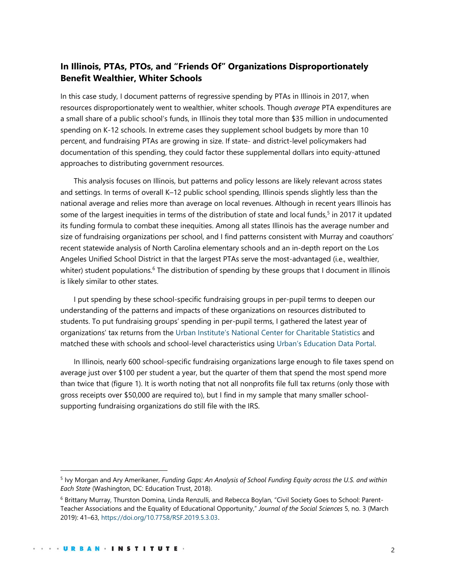# **In Illinois, PTAs, PTOs, and "Friends Of" Organizations Disproportionately Benefit Wealthier, Whiter Schools**

In this case study, I document patterns of regressive spending by PTAs in Illinois in 2017, when resources disproportionately went to wealthier, whiter schools. Though *average* PTA expenditures are a small share of a public school's funds, in Illinois they total more than \$35 million in undocumented spending on K-12 schools. In extreme cases they supplement school budgets by more than 10 percent, and fundraising PTAs are growing in size. If state- and district-level policymakers had documentation of this spending, they could factor these supplemental dollars into equity-attuned approaches to distributing government resources.

This analysis focuses on Illinois, but patterns and policy lessons are likely relevant across states and settings. In terms of overall K–12 public school spending, Illinois spends slightly less than the national average and relies more than average on local revenues. Although in recent years Illinois has some of the largest inequities in terms of the distribution of state and local funds,<sup>5</sup> in 2017 it updated its funding formula to combat these inequities. Among all states Illinois has the average number and size of fundraising organizations per school, and I find patterns consistent with [M](https://www.rsfjournal.org/content/5/3/41.abstract)urray and coauthors' recent statewide analysis of North Carolina elementary schools and an [in-depth report on the Los](https://laist.com/news/education/los-angeles-unified-parent-fundraising)  [Angeles Unified School District](https://laist.com/news/education/los-angeles-unified-parent-fundraising) in that the largest PTAs serve the most-advantaged (i.e., wealthier, whiter) student populations.<sup>6</sup> The distribution of spending by these groups that I document in Illinois is likely similar to other states.

I put spending by these school-specific fundraising groups in per-pupil terms to deepen our understanding of the patterns and impacts of these organizations on resources distributed to students. To put fundraising groups' spending in per-pupil terms, I gathered the latest year of organizations' tax returns from th[e](https://nccs.urban.org/) [Urban Institute's National Center](https://nccs.urban.org/) for Charitable Statistics and matched these with schools and school-level characteristics usin[g](https://educationdata.urban.org/data-explorer/) Urban's [Education Data Portal.](https://educationdata.urban.org/data-explorer/)

In Illinois, nearly 600 school-specific fundraising organizations large enough to file taxes spend on average just over \$100 per student a year, but the quarter of them that spend the most spend more than twice that (figure 1). It is worth noting that not all nonprofits file full tax returns (only those with gross receipts over \$50,000 are required to), but I find in my sample that many smaller schoolsupporting fundraising organizations do still file with the IRS.

<sup>5</sup> Ivy Morgan and Ary Amerikaner, *Funding Gaps: An Analysis of School Funding Equity across the U.S. and within Each State* (Washington, DC: Education Trust, 2018).

<sup>6</sup> Brittany Murray, Thurston Domina, Linda Renzulli, and Rebecca Boylan, "Civil Society Goes to School: Parent-Teacher Associations and the Equality of Educational Opportunity," *Journal of the Social Sciences* 5, no. 3 (March 2019): 41–63,<https://doi.org/10.7758/RSF.2019.5.3.03>.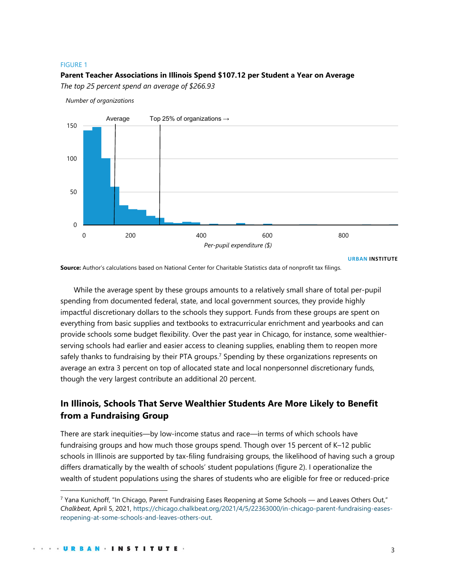#### FIGURE 1

### **Parent Teacher Associations in Illinois Spend \$107.12 per Student a Year on Average**

*The top 25 percent spend an average of \$266.93*

*Number of organizations*



**URBAN INSTITUTE**

**Source:** Author's calculations based on National Center for Charitable Statistics data of nonprofit tax filings.

While the average spent by these groups amounts to a relatively small share of total per-pupil spending from documented federal, state, and local government sources, they provide highly impactful discretionary dollars to the schools they support. Funds from these groups are spent on everything from basic supplies and textbooks to extracurricular enrichment and yearbooks and can provide schools some budget flexibility. Over the past year in Chicago, for instanc[e,](https://chicago.chalkbeat.org/2021/4/5/22363000/in-chicago-parent-fundraising-eases-reopening-at-some-schools-and-leaves-others-out) some wealthierserving schools had earlier and easier access to cleaning supplies, enabling them to reopen more safely thanks to fundraising by their PTA groups.<sup>7</sup> Spending by these organizations represents on average an extra 3 percent on top of allocated state and local nonpersonnel discretionary funds, though the very largest contribute an additional 20 percent.

# **In Illinois, Schools That Serve Wealthier Students Are More Likely to Benefit from a Fundraising Group**

There are stark inequities—by low-income status and race—in terms of which schools have fundraising groups and how much those groups spend. Though over 15 percent of K–12 public schools in Illinois are supported by tax-filing fundraising groups, the likelihood of having such a group differs dramatically by the wealth of schools' student populations (figure 2). I operationalize the wealth of student populations using the shares of students who are eligible for free or reduced-price

 $7$  Yana Kunichoff, "In Chicago, Parent Fundraising Eases Reopening at Some Schools — and Leaves Others Out," *Chalkbeat*, April 5, 2021, [https://chicago.chalkbeat.org/2021/4/5/22363000/in-chicago-parent-fundraising-eases](https://chicago.chalkbeat.org/2021/4/5/22363000/in-chicago-parent-fundraising-eases-reopening-at-some-schools-and-leaves-others-out)[reopening-at-some-schools-and-leaves-others-out.](https://chicago.chalkbeat.org/2021/4/5/22363000/in-chicago-parent-fundraising-eases-reopening-at-some-schools-and-leaves-others-out)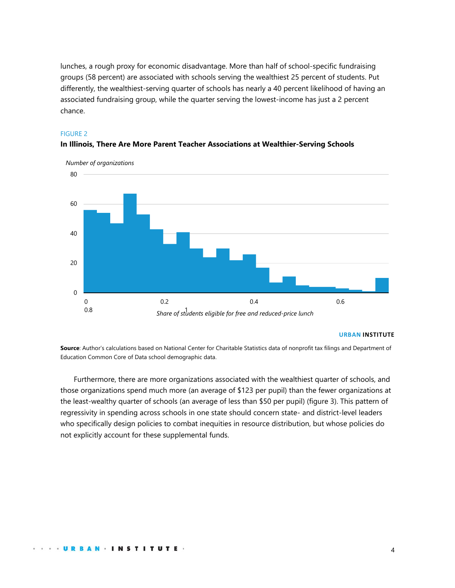lunches, a rough proxy for economic disadvantage. More than half of school-specific fundraising groups (58 percent) are associated with schools serving the wealthiest 25 percent of students. Put differently, the wealthiest-serving quarter of schools has nearly a 40 percent likelihood of having an associated fundraising group, while the quarter serving the lowest-income has just a 2 percent chance.

### FIGURE 2



### **In Illinois, There Are More Parent Teacher Associations at Wealthier-Serving Schools**

#### **URBAN INSTITUTE**

**Source**: Author's calculations based on National Center for Charitable Statistics data of nonprofit tax filings and Department of Education Common Core of Data school demographic data.

Furthermore, there are more organizations associated with the wealthiest quarter of schools, and those organizations spend much more (an average of \$123 per pupil) than the fewer organizations at the least-wealthy quarter of schools (an average of less than \$50 per pupil) (figure 3). This pattern of regressivity in spending across schools in one state should concern state- and district-level leaders who specifically design policies to combat inequities in resource distribution, but whose policies do not explicitly account for these supplemental funds.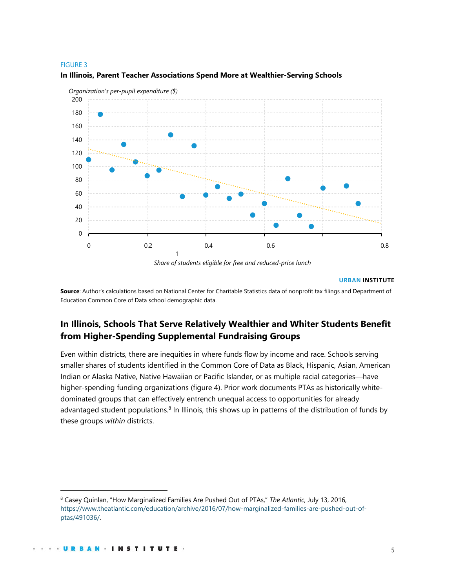#### FIGURE 3



### **In Illinois, Parent Teacher Associations Spend More at Wealthier-Serving Schools**

*Share of students eligible for free and reduced-price lunch*

#### **URBAN INSTITUTE**

**Source**: Author's calculations based on National Center for Charitable Statistics data of nonprofit tax filings and Department of Education Common Core of Data school demographic data.

# **In Illinois, Schools That Serve Relatively Wealthier and Whiter Students Benefit from Higher-Spending Supplemental Fundraising Groups**

Even within districts, there are inequities in where funds flow by income and race. Schools serving smaller shares of students identified in the Common Core of Data as Black, Hispanic, Asian, American Indian or Alaska Native, Native Hawaiian or Pacific Islander, or as multiple racial categories—have higher-spending funding organizations (figure 4). Prior work document[s](https://www.theatlantic.com/education/archive/2016/07/how-marginalized-families-are-pushed-out-of-ptas/491036/) PTAs as historically whitedominated groups that can effectively entrench unequal access to opportunities for already advantaged student populations.<sup>8</sup> In Illinois, this shows up in patterns of the distribution of funds by these groups *within* districts.

<sup>8</sup> Casey Quinlan, "How Marginalized Families Are Pushed Out of PTAs," *The Atlantic*, July 13, 2016, [https://www.theatlantic.com/education/archive/2016/07/how-marginalized-families-are-pushed-out-of](https://www.theatlantic.com/education/archive/2016/07/how-marginalized-families-are-pushed-out-of-ptas/491036/)[ptas/491036/.](https://www.theatlantic.com/education/archive/2016/07/how-marginalized-families-are-pushed-out-of-ptas/491036/)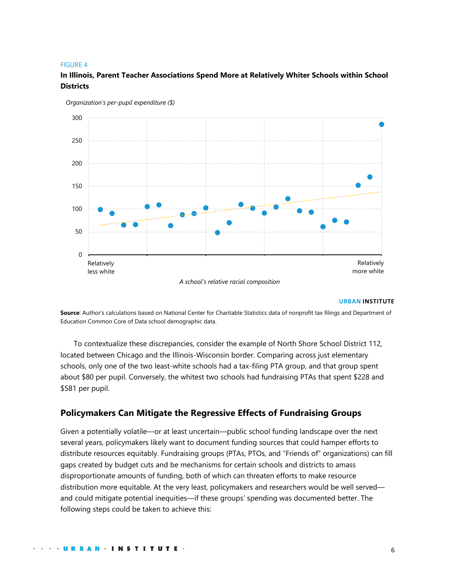#### FIGURE 4

# **In Illinois, Parent Teacher Associations Spend More at Relatively Whiter Schools within School Districts**



*Organization's per-pupil expenditure (\$)*

#### **URBAN INSTITUTE**

**Source**: Author's calculations based on National Center for Charitable Statistics data of nonprofit tax filings and Department of Education Common Core of Data school demographic data.

To contextualize these discrepancies, consider the example of North Shore School District 112, located between Chicago and the Illinois-Wisconsin border. Comparing across just elementary schools, only one of the two least-white schools had a tax-filing PTA group, and that group spent about \$80 per pupil. Conversely, the whitest two schools had fundraising PTAs that spent \$228 and \$581 per pupil.

# **Policymakers Can Mitigate the Regressive Effects of Fundraising Groups**

Given a potentially volatile—or at least uncertain—public school funding landscape over the next several years, policymakers likely want to document funding sources that could hamper efforts to distribute resources equitably. Fundraising groups (PTAs, PTOs, and "Friends of" organizations) can fill gaps created by budget cuts and be mechanisms for certain schools and districts to amass disproportionate amounts of funding, both of which can threaten efforts to make resource distribution more equitable. At the very least, policymakers and researchers would be well served and could mitigate potential inequities—if these groups' spending was documented better. The following steps could be taken to achieve this: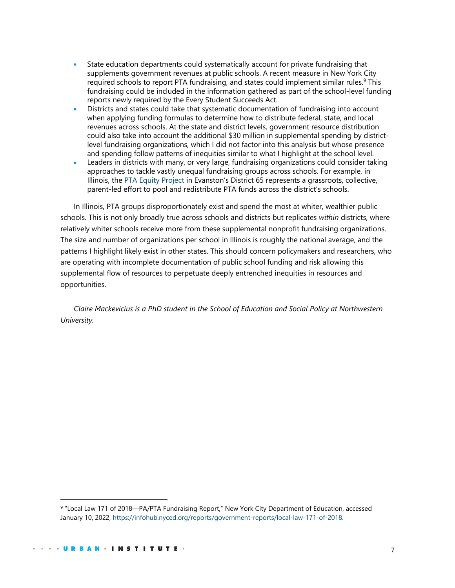- State education departments could systematically account for private fundraising that supplements government revenues at public schools. [A](https://infohub.nyced.org/reports/government-reports/local-law-171-of-2018) recent measure in New York City required schools to report PTA fundraising, and states could implement similar rules.<sup>9</sup> This fundraising could be included in the information gathered as part of the school-level funding reports newly required by the Every Student Succeeds Act.
- Districts and states could take that systematic documentation of fundraising into account when applying funding formulas to determine how to distribute federal, state, and local revenues across schools. At the state and district levels, government resource distribution could also take into account the additional \$30 million in supplemental spending by districtlevel fundraising organizations, which I did not factor into this analysis but whose presence and spending follow patterns of inequities similar to what I highlight at the school level.
- Leaders in districts with many, or very large, fundraising organizations could consider taking approaches to tackle vastly unequal fundraising groups across schools. For example, in Illinois, th[e](https://ptaequityproject.com/about) [PTA Equity Project](https://ptaequityproject.com/about) in Evanston's District 65 represents a grassroots, collective, parent-led effort to pool and redistribute PTA funds across the district's schools.

In Illinois, PTA groups disproportionately exist and spend the most at whiter, wealthier public schools. This is not only broadly true across schools and districts but replicates *within* districts, where relatively whiter schools receive more from these supplemental nonprofit fundraising organizations. The size and number of organizations per school in Illinois is roughly the national average, and the patterns I highlight likely exist in other states. This should concern policymakers and researchers, who are operating with incomplete documentation of public school funding and risk allowing this supplemental flow of resources to perpetuate deeply entrenched inequities in resources and opportunities.

*Claire Mackevicius is a PhD student in the School of Education and Social Policy at Northwestern University.*

<sup>&</sup>lt;sup>9</sup> "Local Law 171 of 2018—PA/PTA Fundraising Report," New York City Department of Education, accessed January 10, 2022, [https://infohub.nyced.org/reports/government-reports/local-law-171-of-2018.](https://infohub.nyced.org/reports/government-reports/local-law-171-of-2018)